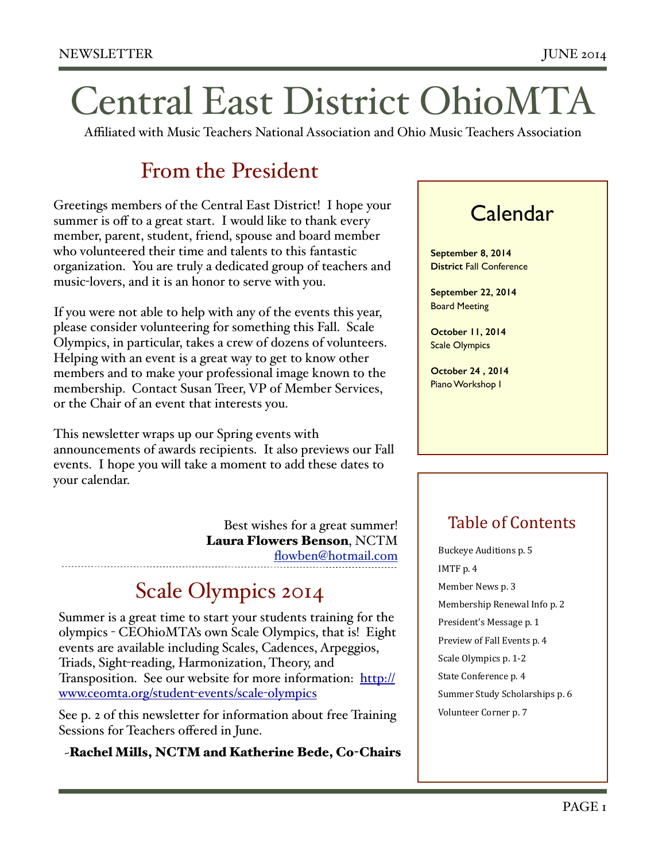# Central East District OhioMTA

Affiliated with Music Teachers National Association and Ohio Music Teachers Association

### From the President

Greetings members of the Central East District! I hope your summer is off to a great start. I would like to thank every member, parent, student, friend, spouse and board member who volunteered their time and talents to this fantastic organization. You are truly a dedicated group of teachers and music-lovers, and it is an honor to serve with you.

If you were not able to help with any of the events this year, please consider volunteering for something this Fall. Scale Olympics, in particular, takes a crew of dozens of volunteers. Helping with an event is a great way to get to know other members and to make your professional image known to the membership. Contact Susan Treer, VP of Member Services, or the Chair of an event that interests you.

This newsletter wraps up our Spring events with announcements of awards recipients. It also previews our Fall events. I hope you will take a moment to add these dates to your calendar.

> Best wishes for a great summer! Laura Flowers Benson, NCTM [flowben@hotmail.com](mailto:flowben@hotmail.com)

### Scale Olympics 2014

Summer is a great time to start your students training for the olympics - CEOhioMTA's own Scale Olympics, that is! Eight events are available including Scales, Cadences, Arpeggios, Triads, Sight-reading, Harmonization, Theory, and [Transposition. See our website for more information: http://](http://www.ceomta.org/student-events/scale-olympics) www.ceomta.org/student-events/scale-olympics

See p. 2 of this newsletter for information about free Training Sessions for Teachers offered in June.

~Rachel Mills, NCTM and Katherine Bede, Co-Chairs

### Calendar

**September 8, 2014 District** Fall Conference

**September 22, 2014**  Board Meeting

**October 11, 2014** Scale Olympics

**October 24 , 2014**  Piano Workshop I

### Table of Contents

Buckeye Auditions p. 5 IMTF p. 4 Member News p. 3 Membership Renewal Info p. 2 President's Message p. 1 Preview of Fall Events p. 4 Scale Olympics p. 1-2 State Conference p. 4 Summer Study Scholarships p. 6 Volunteer Corner p. 7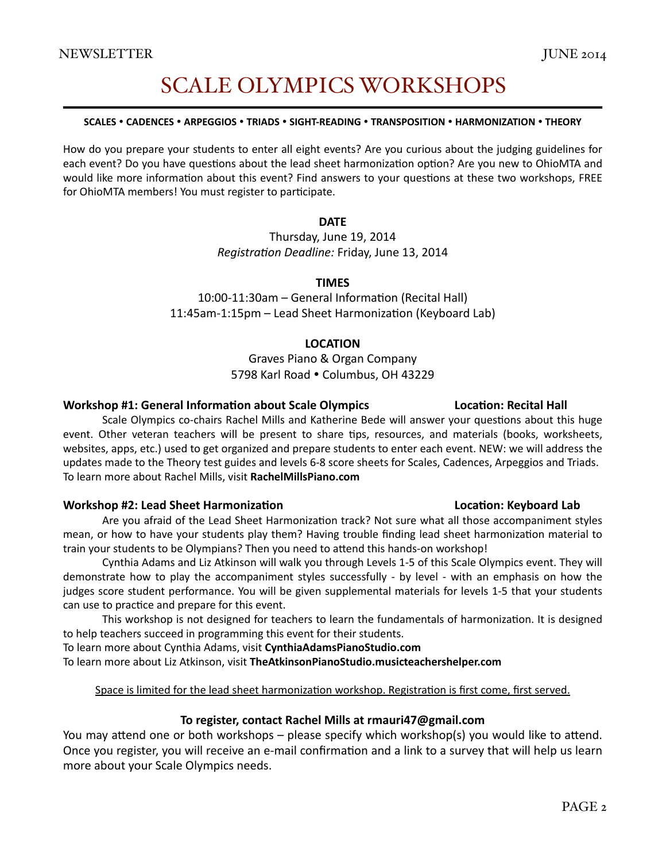### **SCALE OLYMPICS WORKSHOPS**

#### SCALES . CADENCES . ARPEGGIOS . TRIADS . SIGHT-READING . TRANSPOSITION . HARMONIZATION . THEORY

How do you prepare your students to enter all eight events? Are you curious about the judging guidelines for each event? Do you have questions about the lead sheet harmonization option? Are you new to OhioMTA and would like more information about this event? Find answers to your questions at these two workshops, FREE for OhioMTA members! You must register to participate.

#### **DATE**

Thursday, June 19, 2014 Registration Deadline: Friday, June 13, 2014

#### **TIMFS**

10:00-11:30am - General Information (Recital Hall) 11:45am-1:15pm – Lead Sheet Harmonization (Keyboard Lab)

#### **LOCATION**

#### Graves Piano & Organ Company 5798 Karl Road . Columbus, OH 43229

#### **Workshop #1: General Information about Scale Olympics**

Scale Olympics co-chairs Rachel Mills and Katherine Bede will answer your questions about this huge event. Other veteran teachers will be present to share tips, resources, and materials (books, worksheets, websites, apps, etc.) used to get organized and prepare students to enter each event. NEW: we will address the updates made to the Theory test guides and levels 6-8 score sheets for Scales, Cadences, Arpeggios and Triads. To learn more about Rachel Mills, visit RachelMillsPiano.com

#### **Workshop #2: Lead Sheet Harmonization**

Are you afraid of the Lead Sheet Harmonization track? Not sure what all those accompaniment styles mean, or how to have your students play them? Having trouble finding lead sheet harmonization material to train your students to be Olympians? Then you need to attend this hands-on workshop!

Cynthia Adams and Liz Atkinson will walk you through Levels 1-5 of this Scale Olympics event. They will demonstrate how to play the accompaniment styles successfully - by level - with an emphasis on how the judges score student performance. You will be given supplemental materials for levels 1-5 that your students can use to practice and prepare for this event.

This workshop is not designed for teachers to learn the fundamentals of harmonization. It is designed to help teachers succeed in programming this event for their students.

To learn more about Cynthia Adams, visit CynthiaAdamsPianoStudio.com To learn more about Liz Atkinson, visit TheAtkinsonPianoStudio.musicteachershelper.com

#### Space is limited for the lead sheet harmonization workshop. Registration is first come, first served.

#### To register, contact Rachel Mills at rmauri47@gmail.com

You may attend one or both workshops - please specify which workshop(s) you would like to attend. Once you register, you will receive an e-mail confirmation and a link to a survey that will help us learn more about your Scale Olympics needs.

#### **Location: Keyboard Lab**

**Location: Recital Hall**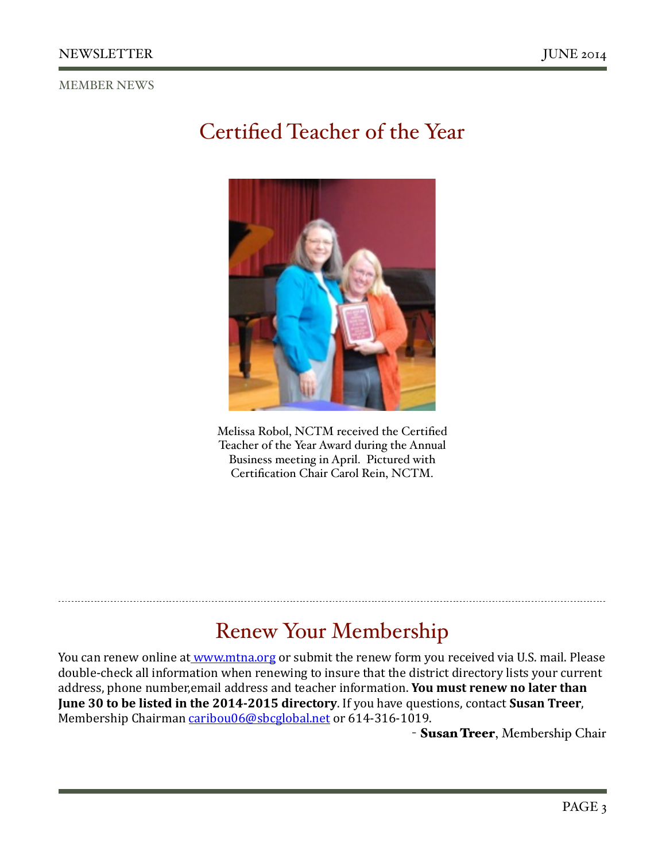#### MEMBER NEWS

# Certified Teacher of the Year



Melissa Robol, NCTM received the Certified Teacher of the Year Award during the Annual Business meeting in April. Pictured with Certification Chair Carol Rein, NCTM.

# Renew Your Membership

You can renew online at www.mtna.org or submit the renew form you received via U.S. mail. Please double-check all information when renewing to insure that the district directory lists your current address, phone number,email address and teacher information. You must renew no later than **June 30 to be listed in the 2014-2015 directory**. If you have questions, contact Susan Treer, Membership Chairman caribou06@sbcglobal.net or 614-316-1019.

- Susan Treer, Membership Chair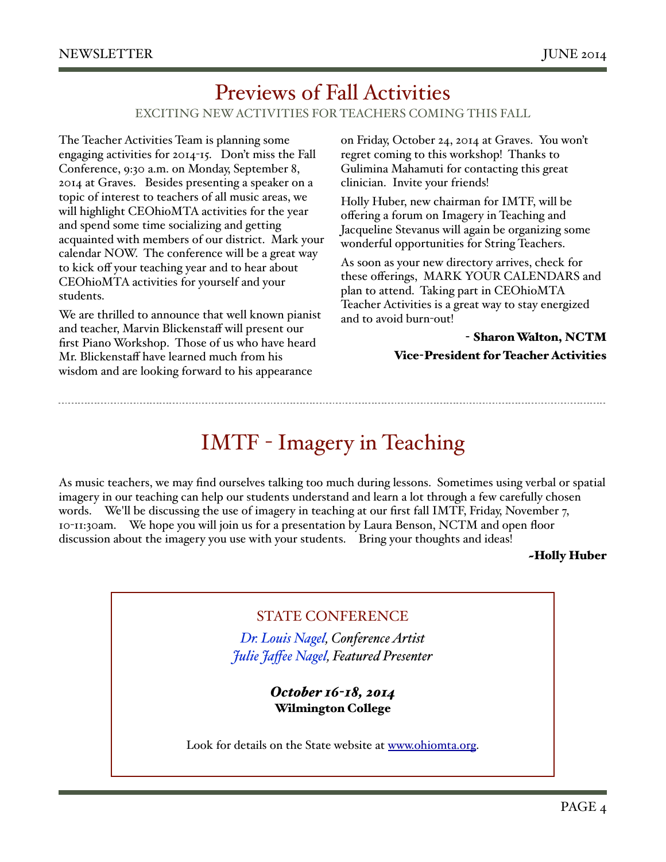### EXCITING NEW ACTIVITIES FOR TEACHERS COMING THIS FALL Previews of Fall Activities

The Teacher Activities Team is planning some engaging activities for 2014-15. Don't miss the Fall Conference, 9:30 a.m. on Monday, September 8, 2014 at Graves. Besides presenting a speaker on a topic of interest to teachers of all music areas, we will highlight CEOhioMTA activities for the year and spend some time socializing and getting acquainted with members of our district. Mark your calendar NOW. The conference will be a great way to kick off your teaching year and to hear about CEOhioMTA activities for yourself and your students.

We are thrilled to announce that well known pianist and teacher, Marvin Blickenstaff will present our first Piano Workshop. Those of us who have heard Mr. Blickenstaff have learned much from his wisdom and are looking forward to his appearance

on Friday, October 24, 2014 at Graves. You won't regret coming to this workshop! Thanks to Gulimina Mahamuti for contacting this great clinician. Invite your friends!

Holly Huber, new chairman for IMTF, will be offering a forum on Imagery in Teaching and Jacqueline Stevanus will again be organizing some wonderful opportunities for String Teachers.

As soon as your new directory arrives, check for these offerings, MARK YOUR CALENDARS and plan to attend. Taking part in CEOhioMTA Teacher Activities is a great way to stay energized and to avoid burn-out!

#### - Sharon Walton, NCTM Vice-President for Teacher Activities

IMTF - Imagery in Teaching

As music teachers, we may find ourselves talking too much during lessons. Sometimes using verbal or spatial imagery in our teaching can help our students understand and learn a lot through a few carefully chosen words. We'll be discussing the use of imagery in teaching at our first fall IMTF, Friday, November 7, 10-11:30am. We hope you will join us for a presentation by Laura Benson, NCTM and open floor discussion about the imagery you use with your students. Bring your thoughts and ideas!

~Holly Huber

### STATE CONFERENCE

*[Dr. Louis Nagel](http://nebula.wsimg.com/221791767e70aec0021d6d1d45afe271?AccessKeyId=47F99DFE98C2366E8761&disposition=0&alloworigin=1), Conference Artist Julie Jaff[ee Nagel](http://nebula.wsimg.com/20165e7d9dac1df56868389b52327b8a?AccessKeyId=47F99DFE98C2366E8761&disposition=0&alloworigin=1), Featured Presenter*

> *October 16-18, 2014* Wilmington College

Look for details on the State website at [www.ohiomta.org.](http://www.ohiomta.org)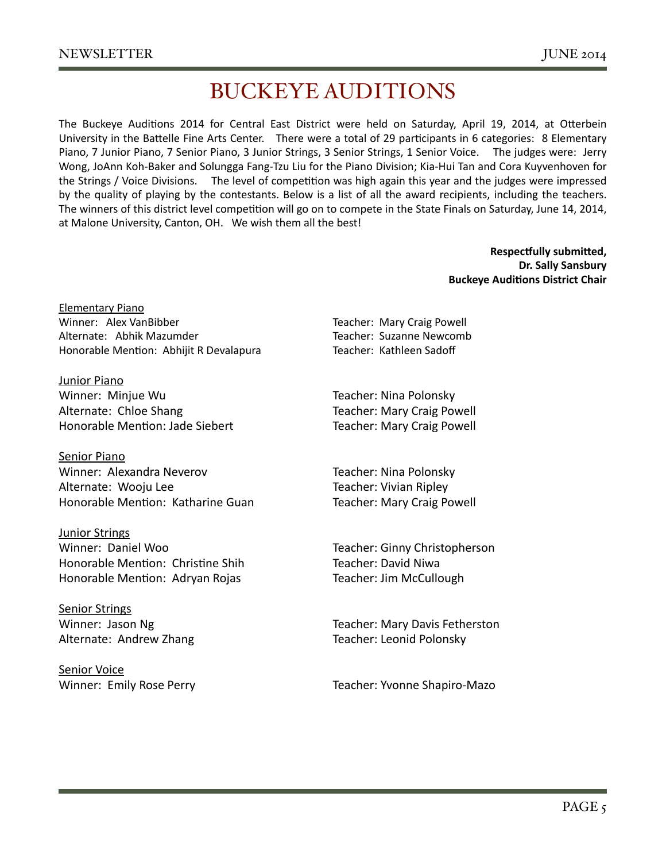# **BUCKEYE AUDITIONS**

The Buckeye Auditions 2014 for Central East District were held on Saturday, April 19, 2014, at Otterbein University in the Battelle Fine Arts Center. There were a total of 29 participants in 6 categories: 8 Elementary Piano, 7 Junior Piano, 7 Senior Piano, 3 Junior Strings, 3 Senior Strings, 1 Senior Voice. The judges were: Jerry Wong, JoAnn Koh-Baker and Solungga Fang-Tzu Liu for the Piano Division; Kia-Hui Tan and Cora Kuyvenhoven for the Strings / Voice Divisions. The level of competition was high again this year and the judges were impressed by the quality of playing by the contestants. Below is a list of all the award recipients, including the teachers. The winners of this district level competition will go on to compete in the State Finals on Saturday, June 14, 2014, at Malone University, Canton, OH. We wish them all the best!

> **Respectfully submitted,** Dr. Sally Sansbury **Buckeye Auditions District Chair**

**Elementary Piano** Winner: Alex VanBibber Alternate: Abhik Mazumder Honorable Mention: Abhijit R Devalapura

Junior Piano Winner: Minjue Wu Alternate: Chloe Shang Honorable Mention: Jade Siebert

Senior Piano Winner: Alexandra Neverov Alternate: Wooju Lee Honorable Mention: Katharine Guan

**Junior Strings** Winner: Daniel Woo Honorable Mention: Christine Shih Honorable Mention: Adryan Rojas

**Senior Strings** Winner: Jason Ng Alternate: Andrew Zhang

Senior Voice Winner: Emily Rose Perry Teacher: Mary Craig Powell Teacher: Suzanne Newcomb Teacher: Kathleen Sadoff

Teacher: Nina Polonsky Teacher: Mary Craig Powell **Teacher: Mary Craig Powell** 

Teacher: Nina Polonsky Teacher: Vivian Ripley **Teacher: Mary Craig Powell** 

Teacher: Ginny Christopherson Teacher: David Niwa Teacher: Jim McCullough

Teacher: Mary Davis Fetherston Teacher: Leonid Polonsky

Teacher: Yvonne Shapiro-Mazo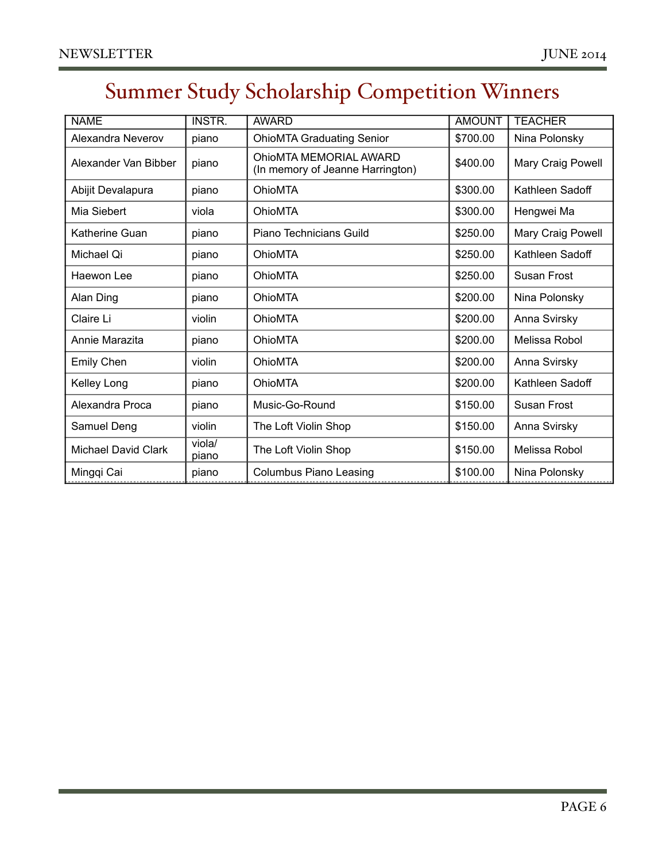# Summer Study Scholarship Competition Winners

| <b>NAME</b>                | <b>INSTR.</b>   | <b>AWARD</b>                                               | <b>AMOUNT</b> | <b>TEACHER</b>    |
|----------------------------|-----------------|------------------------------------------------------------|---------------|-------------------|
| Alexandra Neverov          | piano           | <b>OhioMTA Graduating Senior</b>                           | \$700.00      | Nina Polonsky     |
| Alexander Van Bibber       | piano           | OhioMTA MEMORIAL AWARD<br>(In memory of Jeanne Harrington) | \$400.00      | Mary Craig Powell |
| Abijit Devalapura          | piano           | <b>OhioMTA</b>                                             | \$300.00      | Kathleen Sadoff   |
| Mia Siebert                | viola           | <b>OhioMTA</b>                                             | \$300.00      | Hengwei Ma        |
| Katherine Guan             | piano           | Piano Technicians Guild                                    | \$250.00      | Mary Craig Powell |
| Michael Qi                 | piano           | <b>OhioMTA</b>                                             | \$250.00      | Kathleen Sadoff   |
| Haewon Lee                 | piano           | <b>OhioMTA</b>                                             | \$250.00      | Susan Frost       |
| Alan Ding                  | piano           | <b>OhioMTA</b>                                             | \$200.00      | Nina Polonsky     |
| Claire Li                  | violin          | <b>OhioMTA</b>                                             | \$200.00      | Anna Svirsky      |
| Annie Marazita             | piano           | <b>OhioMTA</b>                                             | \$200.00      | Melissa Robol     |
| Emily Chen                 | violin          | OhioMTA                                                    | \$200.00      | Anna Svirsky      |
| Kelley Long                | piano           | OhioMTA                                                    | \$200.00      | Kathleen Sadoff   |
| Alexandra Proca            | piano           | Music-Go-Round                                             | \$150.00      | Susan Frost       |
| Samuel Deng                | violin          | The Loft Violin Shop                                       | \$150.00      | Anna Svirsky      |
| <b>Michael David Clark</b> | viola/<br>piano | The Loft Violin Shop                                       | \$150.00      | Melissa Robol     |
| Mingqi Cai                 | piano           | <b>Columbus Piano Leasing</b>                              | \$100.00      | Nina Polonsky     |